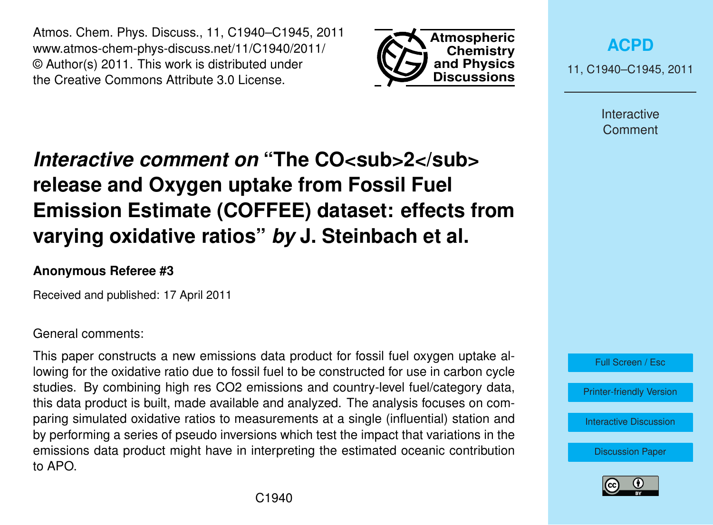Atmos. Chem. Phys. Discuss., 11, C1940–C1945, 2011 www.atmos-chem-phys-discuss.net/11/C1940/2011/ © Author(s) 2011. This work is distributed under the Creative Commons Attribute 3.0 License.



**[ACPD](http://www.atmos-chem-phys-discuss.net)**

11, C1940–C1945, 2011

Interactive **Comment** 

# *Interactive comment on* "The CO<sub>SUD</sub>>2</sub> **release and Oxygen uptake from Fossil Fuel Emission Estimate (COFFEE) dataset: effects from varying oxidative ratios"** *by* **J. Steinbach et al.**

### **Anonymous Referee #3**

Received and published: 17 April 2011

#### General comments:

This paper constructs a new emissions data product for fossil fuel oxygen uptake allowing for the oxidative ratio due to fossil fuel to be constructed for use in carbon cycle studies. By combining high res CO2 emissions and country-level fuel/category data, this data product is built, made available and analyzed. The analysis focuses on comparing simulated oxidative ratios to measurements at a single (influential) station and by performing a series of pseudo inversions which test the impact that variations in the emissions data product might have in interpreting the estimated oceanic contribution to APO.



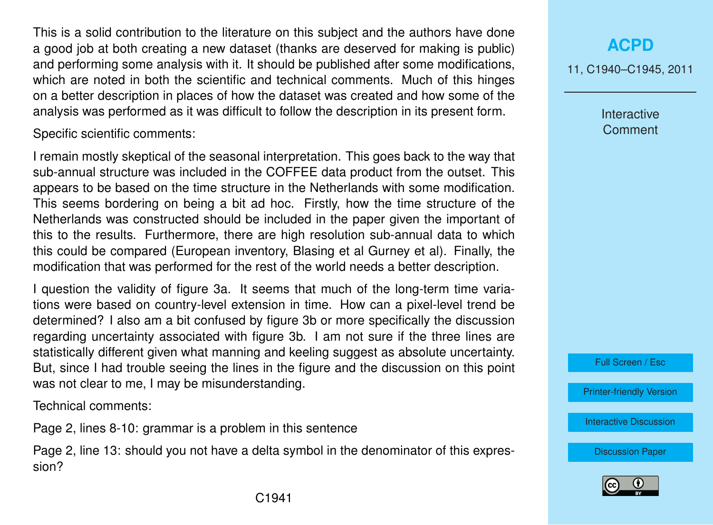This is a solid contribution to the literature on this subject and the authors have done a good job at both creating a new dataset (thanks are deserved for making is public) and performing some analysis with it. It should be published after some modifications, which are noted in both the scientific and technical comments. Much of this hinges on a better description in places of how the dataset was created and how some of the analysis was performed as it was difficult to follow the description in its present form.

Specific scientific comments:

I remain mostly skeptical of the seasonal interpretation. This goes back to the way that sub-annual structure was included in the COFFEE data product from the outset. This appears to be based on the time structure in the Netherlands with some modification. This seems bordering on being a bit ad hoc. Firstly, how the time structure of the Netherlands was constructed should be included in the paper given the important of this to the results. Furthermore, there are high resolution sub-annual data to which this could be compared (European inventory, Blasing et al Gurney et al). Finally, the modification that was performed for the rest of the world needs a better description.

I question the validity of figure 3a. It seems that much of the long-term time variations were based on country-level extension in time. How can a pixel-level trend be determined? I also am a bit confused by figure 3b or more specifically the discussion regarding uncertainty associated with figure 3b. I am not sure if the three lines are statistically different given what manning and keeling suggest as absolute uncertainty. But, since I had trouble seeing the lines in the figure and the discussion on this point was not clear to me, I may be misunderstanding.

Technical comments:

Page 2, lines 8-10: grammar is a problem in this sentence

Page 2, line 13: should you not have a delta symbol in the denominator of this expression?

11, C1940–C1945, 2011

Interactive **Comment** 

Full Screen / Esc

[Printer-friendly Version](http://www.atmos-chem-phys-discuss.net/11/C1940/2011/acpd-11-C1940-2011-print.pdf)

[Interactive Discussion](http://www.atmos-chem-phys-discuss.net/11/6187/2011/acpd-11-6187-2011-discussion.html)

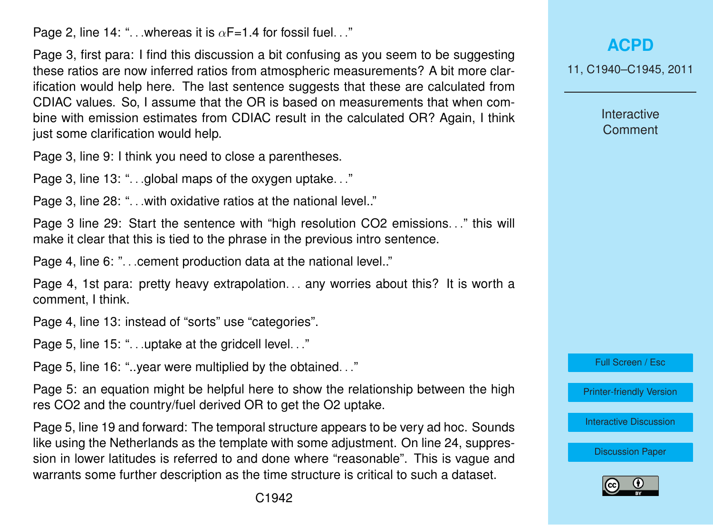Page 2, line 14: "... whereas it is  $\alpha$ F=1.4 for fossil fuel..."

Page 3, first para: I find this discussion a bit confusing as you seem to be suggesting these ratios are now inferred ratios from atmospheric measurements? A bit more clarification would help here. The last sentence suggests that these are calculated from CDIAC values. So, I assume that the OR is based on measurements that when combine with emission estimates from CDIAC result in the calculated OR? Again, I think just some clarification would help.

Page 3, line 9: I think you need to close a parentheses.

Page 3, line 13: "...global maps of the oxygen uptake..."

Page 3, line 28: "... with oxidative ratios at the national level.."

Page 3 line 29: Start the sentence with "high resolution CO2 emissions. . ." this will make it clear that this is tied to the phrase in the previous intro sentence.

Page 4, line 6: "... cement production data at the national level.."

Page 4, 1st para: pretty heavy extrapolation... any worries about this? It is worth a comment, I think.

Page 4, line 13: instead of "sorts" use "categories".

Page 5, line 15: "...uptake at the gridcell level..."

Page 5, line 16: "..year were multiplied by the obtained. . ."

Page 5: an equation might be helpful here to show the relationship between the high res CO2 and the country/fuel derived OR to get the O2 uptake.

Page 5, line 19 and forward: The temporal structure appears to be very ad hoc. Sounds like using the Netherlands as the template with some adjustment. On line 24, suppression in lower latitudes is referred to and done where "reasonable". This is vague and warrants some further description as the time structure is critical to such a dataset.

11, C1940–C1945, 2011

**Interactive Comment** 

Full Screen / Esc

[Printer-friendly Version](http://www.atmos-chem-phys-discuss.net/11/C1940/2011/acpd-11-C1940-2011-print.pdf)

[Interactive Discussion](http://www.atmos-chem-phys-discuss.net/11/6187/2011/acpd-11-6187-2011-discussion.html)

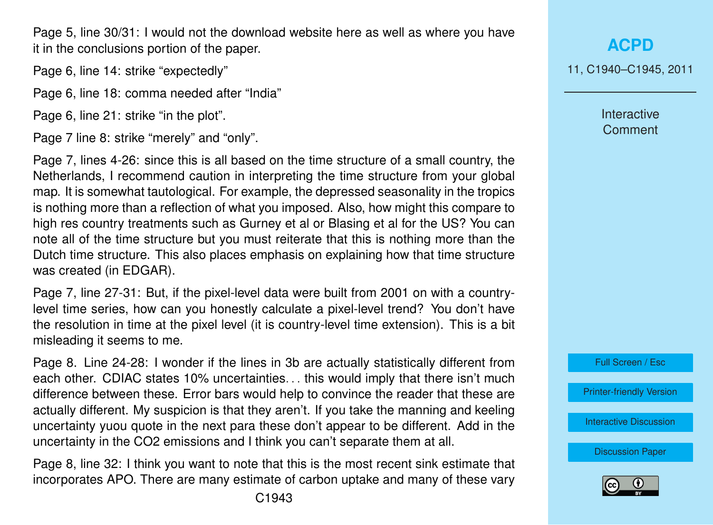Page 5. line 30/31: I would not the download website here as well as where you have it in the conclusions portion of the paper.

Page 6, line 14: strike "expectedly"

Page 6, line 18: comma needed after "India"

Page 6, line 21: strike "in the plot".

Page 7 line 8: strike "merely" and "only".

Page 7, lines 4-26: since this is all based on the time structure of a small country, the Netherlands, I recommend caution in interpreting the time structure from your global map. It is somewhat tautological. For example, the depressed seasonality in the tropics is nothing more than a reflection of what you imposed. Also, how might this compare to high res country treatments such as Gurney et al or Blasing et al for the US? You can note all of the time structure but you must reiterate that this is nothing more than the Dutch time structure. This also places emphasis on explaining how that time structure was created (in EDGAR).

Page 7, line 27-31: But, if the pixel-level data were built from 2001 on with a countrylevel time series, how can you honestly calculate a pixel-level trend? You don't have the resolution in time at the pixel level (it is country-level time extension). This is a bit misleading it seems to me.

Page 8. Line 24-28: I wonder if the lines in 3b are actually statistically different from each other. CDIAC states 10% uncertainties. . . this would imply that there isn't much difference between these. Error bars would help to convince the reader that these are actually different. My suspicion is that they aren't. If you take the manning and keeling uncertainty yuou quote in the next para these don't appear to be different. Add in the uncertainty in the CO2 emissions and I think you can't separate them at all.

Page 8, line 32: I think you want to note that this is the most recent sink estimate that incorporates APO. There are many estimate of carbon uptake and many of these vary

C1943

### **[ACPD](http://www.atmos-chem-phys-discuss.net)**

11, C1940–C1945, 2011

Interactive **Comment** 

Full Screen / Esc

[Printer-friendly Version](http://www.atmos-chem-phys-discuss.net/11/C1940/2011/acpd-11-C1940-2011-print.pdf)

[Interactive Discussion](http://www.atmos-chem-phys-discuss.net/11/6187/2011/acpd-11-6187-2011-discussion.html)

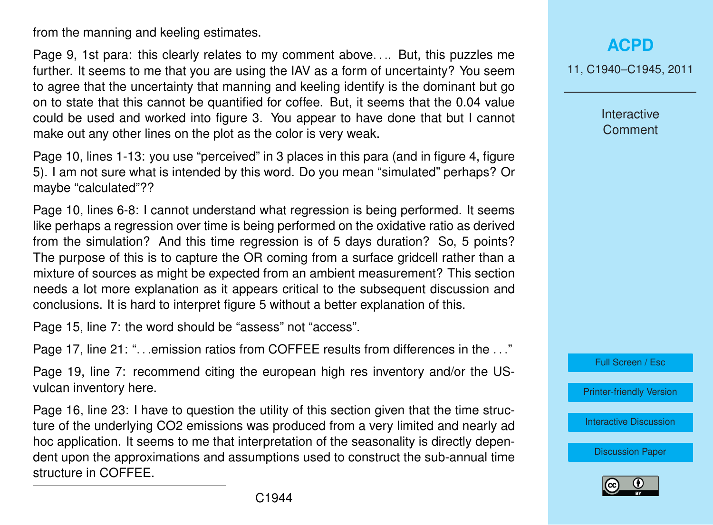from the manning and keeling estimates.

Page 9, 1st para: this clearly relates to my comment above. . .. But, this puzzles me further. It seems to me that you are using the IAV as a form of uncertainty? You seem to agree that the uncertainty that manning and keeling identify is the dominant but go on to state that this cannot be quantified for coffee. But, it seems that the 0.04 value could be used and worked into figure 3. You appear to have done that but I cannot make out any other lines on the plot as the color is very weak.

Page 10, lines 1-13: you use "perceived" in 3 places in this para (and in figure 4, figure 5). I am not sure what is intended by this word. Do you mean "simulated" perhaps? Or maybe "calculated"??

Page 10, lines 6-8: I cannot understand what regression is being performed. It seems like perhaps a regression over time is being performed on the oxidative ratio as derived from the simulation? And this time regression is of 5 days duration? So, 5 points? The purpose of this is to capture the OR coming from a surface gridcell rather than a mixture of sources as might be expected from an ambient measurement? This section needs a lot more explanation as it appears critical to the subsequent discussion and conclusions. It is hard to interpret figure 5 without a better explanation of this.

Page 15, line 7: the word should be "assess" not "access".

Page 17, line 21: "...emission ratios from COFFEE results from differences in the ..."

Page 19, line 7: recommend citing the european high res inventory and/or the USvulcan inventory here.

Page 16, line 23: I have to question the utility of this section given that the time structure of the underlying CO2 emissions was produced from a very limited and nearly ad hoc application. It seems to me that interpretation of the seasonality is directly dependent upon the approximations and assumptions used to construct the sub-annual time structure in COFFEE.

#### **[ACPD](http://www.atmos-chem-phys-discuss.net)**

11, C1940–C1945, 2011

Interactive **Comment** 



[Printer-friendly Version](http://www.atmos-chem-phys-discuss.net/11/C1940/2011/acpd-11-C1940-2011-print.pdf)

[Interactive Discussion](http://www.atmos-chem-phys-discuss.net/11/6187/2011/acpd-11-6187-2011-discussion.html)